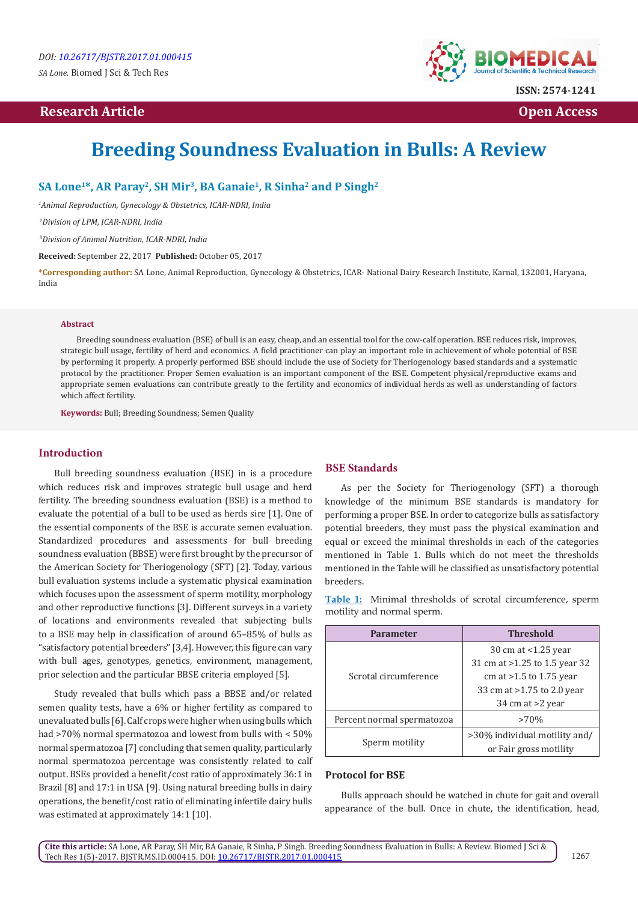*SA Lone.* Biomed J Sci & Tech Res

# **Research Article Open Access Contract Article Open Access Open Access**



# **Breeding Soundness Evaluation in Bulls: A Review**

**SA Lone1\*, AR Paray2, SH Mir3, BA Ganaie1, R Sinha2 and P Singh2**

*1 Animal Reproduction, Gynecology & Obstetrics, ICAR-NDRI, India*

 *2Division of LPM, ICAR-NDRI, India*

 *3Division of Animal Nutrition, ICAR-NDRI, India*

**Received:** September 22, 2017 **Published:** October 05, 2017

**\*Corresponding author:** SA Lone, Animal Reproduction, Gynecology & Obstetrics, ICAR- National Dairy Research Institute, Karnal, 132001, Haryana, India

#### **Abstract**

Breeding soundness evaluation (BSE) of bull is an easy, cheap, and an essential tool for the cow-calf operation. BSE reduces risk, improves, strategic bull usage, fertility of herd and economics. A field practitioner can play an important role in achievement of whole potential of BSE by performing it properly. A properly performed BSE should include the use of Society for Theriogenology based standards and a systematic protocol by the practitioner. Proper Semen evaluation is an important component of the BSE. Competent physical/reproductive exams and appropriate semen evaluations can contribute greatly to the fertility and economics of individual herds as well as understanding of factors which affect fertility.

**Keywords:** Bull; Breeding Soundness; Semen Quality

## **Introduction**

Bull breeding soundness evaluation (BSE) in is a procedure which reduces risk and improves strategic bull usage and herd fertility. The breeding soundness evaluation (BSE) is a method to evaluate the potential of a bull to be used as herds sire [1]. One of the essential components of the BSE is accurate semen evaluation. Standardized procedures and assessments for bull breeding soundness evaluation (BBSE) were first brought by the precursor of the American Society for Theriogenology (SFT) [2]. Today, various bull evaluation systems include a systematic physical examination which focuses upon the assessment of sperm motility, morphology and other reproductive functions [3]. Different surveys in a variety of locations and environments revealed that subjecting bulls to a BSE may help in classification of around 65–85% of bulls as "satisfactory potential breeders" [3,4]. However, this figure can vary with bull ages, genotypes, genetics, environment, management, prior selection and the particular BBSE criteria employed [5].

Study revealed that bulls which pass a BBSE and/or related semen quality tests, have a 6% or higher fertility as compared to unevaluated bulls [6]. Calf crops were higher when using bulls which had >70% normal spermatozoa and lowest from bulls with < 50% normal spermatozoa [7] concluding that semen quality, particularly normal spermatozoa percentage was consistently related to calf output. BSEs provided a benefit/cost ratio of approximately 36:1 in Brazil [8] and 17:1 in USA [9]. Using natural breeding bulls in dairy operations, the benefit/cost ratio of eliminating infertile dairy bulls was estimated at approximately 14:1 [10].

#### **BSE Standards**

As per the Society for Theriogenology (SFT) a thorough knowledge of the minimum BSE standards is mandatory for performing a proper BSE. In order to categorize bulls as satisfactory potential breeders, they must pass the physical examination and equal or exceed the minimal thresholds in each of the categories mentioned in Table 1. Bulls which do not meet the thresholds mentioned in the Table will be classified as unsatisfactory potential breeders.

**Table 1:** Minimal thresholds of scrotal circumference, sperm motility and normal sperm.

| <b>Parameter</b>           | <b>Threshold</b>              |
|----------------------------|-------------------------------|
| Scrotal circumference      | 30 cm at <1.25 year           |
|                            | 31 cm at >1.25 to 1.5 year 32 |
|                            | cm at $>1.5$ to 1.75 year     |
|                            | 33 cm at >1.75 to 2.0 year    |
|                            | 34 cm at >2 year              |
| Percent normal spermatozoa | $>70\%$                       |
| Sperm motility             | >30% individual motility and/ |
|                            | or Fair gross motility        |

#### **Protocol for BSE**

Bulls approach should be watched in chute for gait and overall appearance of the bull. Once in chute, the identification, head,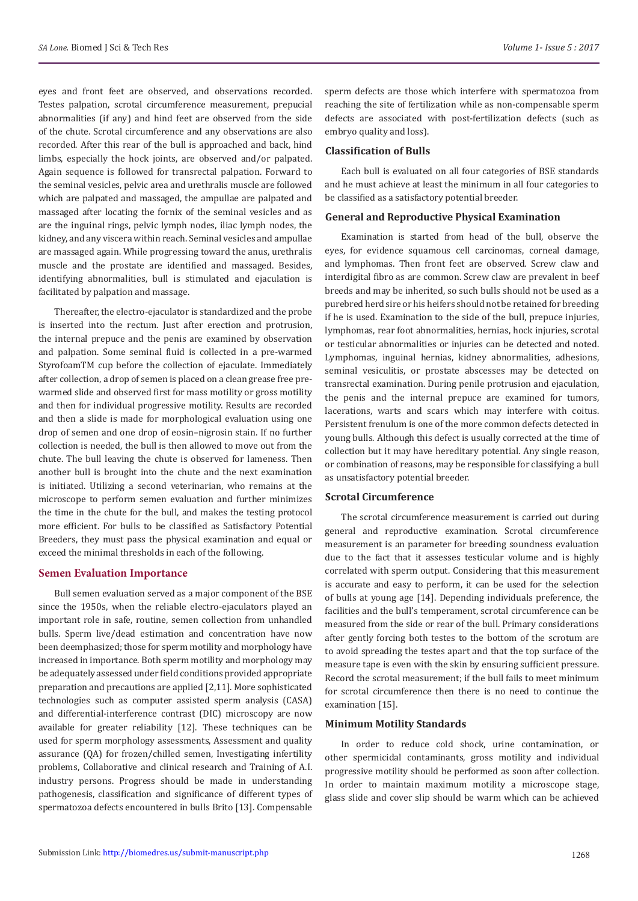eyes and front feet are observed, and observations recorded. Testes palpation, scrotal circumference measurement, prepucial abnormalities (if any) and hind feet are observed from the side of the chute. Scrotal circumference and any observations are also recorded. After this rear of the bull is approached and back, hind limbs, especially the hock joints, are observed and/or palpated. Again sequence is followed for transrectal palpation. Forward to the seminal vesicles, pelvic area and urethralis muscle are followed which are palpated and massaged, the ampullae are palpated and massaged after locating the fornix of the seminal vesicles and as are the inguinal rings, pelvic lymph nodes, iliac lymph nodes, the kidney, and any viscera within reach. Seminal vesicles and ampullae are massaged again. While progressing toward the anus, urethralis muscle and the prostate are identified and massaged. Besides, identifying abnormalities, bull is stimulated and ejaculation is facilitated by palpation and massage.

Thereafter, the electro-ejaculator is standardized and the probe is inserted into the rectum. Just after erection and protrusion, the internal prepuce and the penis are examined by observation and palpation. Some seminal fluid is collected in a pre-warmed StyrofoamTM cup before the collection of ejaculate. Immediately after collection, a drop of semen is placed on a clean grease free prewarmed slide and observed first for mass motility or gross motility and then for individual progressive motility. Results are recorded and then a slide is made for morphological evaluation using one drop of semen and one drop of eosin–nigrosin stain. If no further collection is needed, the bull is then allowed to move out from the chute. The bull leaving the chute is observed for lameness. Then another bull is brought into the chute and the next examination is initiated. Utilizing a second veterinarian, who remains at the microscope to perform semen evaluation and further minimizes the time in the chute for the bull, and makes the testing protocol more efficient. For bulls to be classified as Satisfactory Potential Breeders, they must pass the physical examination and equal or exceed the minimal thresholds in each of the following.

#### **Semen Evaluation Importance**

Bull semen evaluation served as a major component of the BSE since the 1950s, when the reliable electro-ejaculators played an important role in safe, routine, semen collection from unhandled bulls. Sperm live/dead estimation and concentration have now been deemphasized; those for sperm motility and morphology have increased in importance. Both sperm motility and morphology may be adequately assessed under field conditions provided appropriate preparation and precautions are applied [2,11]. More sophisticated technologies such as computer assisted sperm analysis (CASA) and differential-interference contrast (DIC) microscopy are now available for greater reliability [12]. These techniques can be used for sperm morphology assessments, Assessment and quality assurance (QA) for frozen/chilled semen, Investigating infertility problems, Collaborative and clinical research and Training of A.I. industry persons. Progress should be made in understanding pathogenesis, classification and significance of different types of spermatozoa defects encountered in bulls Brito [13]. Compensable

sperm defects are those which interfere with spermatozoa from reaching the site of fertilization while as non-compensable sperm defects are associated with post-fertilization defects (such as embryo quality and loss).

#### **Classification of Bulls**

Each bull is evaluated on all four categories of BSE standards and he must achieve at least the minimum in all four categories to be classified as a satisfactory potential breeder.

## **General and Reproductive Physical Examination**

Examination is started from head of the bull, observe the eyes, for evidence squamous cell carcinomas, corneal damage, and lymphomas. Then front feet are observed. Screw claw and interdigital fibro as are common. Screw claw are prevalent in beef breeds and may be inherited, so such bulls should not be used as a purebred herd sire or his heifers should not be retained for breeding if he is used. Examination to the side of the bull, prepuce injuries, lymphomas, rear foot abnormalities, hernias, hock injuries, scrotal or testicular abnormalities or injuries can be detected and noted. Lymphomas, inguinal hernias, kidney abnormalities, adhesions, seminal vesiculitis, or prostate abscesses may be detected on transrectal examination. During penile protrusion and ejaculation, the penis and the internal prepuce are examined for tumors, lacerations, warts and scars which may interfere with coitus. Persistent frenulum is one of the more common defects detected in young bulls. Although this defect is usually corrected at the time of collection but it may have hereditary potential. Any single reason, or combination of reasons, may be responsible for classifying a bull as unsatisfactory potential breeder.

# **Scrotal Circumference**

The scrotal circumference measurement is carried out during general and reproductive examination. Scrotal circumference measurement is an parameter for breeding soundness evaluation due to the fact that it assesses testicular volume and is highly correlated with sperm output. Considering that this measurement is accurate and easy to perform, it can be used for the selection of bulls at young age [14]. Depending individuals preference, the facilities and the bull's temperament, scrotal circumference can be measured from the side or rear of the bull. Primary considerations after gently forcing both testes to the bottom of the scrotum are to avoid spreading the testes apart and that the top surface of the measure tape is even with the skin by ensuring sufficient pressure. Record the scrotal measurement; if the bull fails to meet minimum for scrotal circumference then there is no need to continue the examination [15].

#### **Minimum Motility Standards**

In order to reduce cold shock, urine contamination, or other spermicidal contaminants, gross motility and individual progressive motility should be performed as soon after collection. In order to maintain maximum motility a microscope stage, glass slide and cover slip should be warm which can be achieved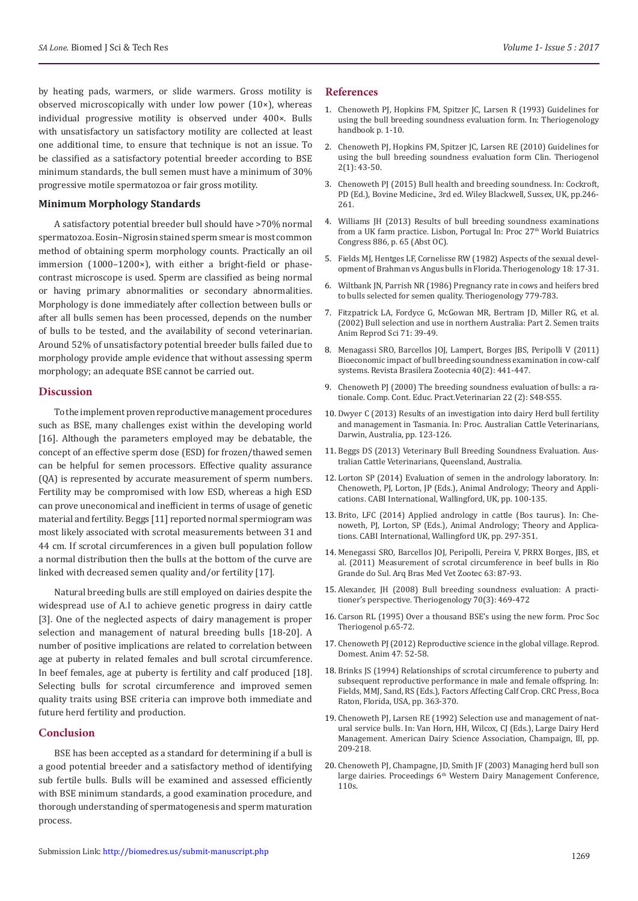by heating pads, warmers, or slide warmers. Gross motility is observed microscopically with under low power (10×), whereas individual progressive motility is observed under 400×. Bulls with unsatisfactory un satisfactory motility are collected at least one additional time, to ensure that technique is not an issue. To be classified as a satisfactory potential breeder according to BSE minimum standards, the bull semen must have a minimum of 30% progressive motile spermatozoa or fair gross motility.

#### **Minimum Morphology Standards**

A satisfactory potential breeder bull should have >70% normal spermatozoa. Eosin–Nigrosin stained sperm smear is most common method of obtaining sperm morphology counts. Practically an oil immersion (1000–1200×), with either a bright-field or phasecontrast microscope is used. Sperm are classified as being normal or having primary abnormalities or secondary abnormalities. Morphology is done immediately after collection between bulls or after all bulls semen has been processed, depends on the number of bulls to be tested, and the availability of second veterinarian. Around 52% of unsatisfactory potential breeder bulls failed due to morphology provide ample evidence that without assessing sperm morphology; an adequate BSE cannot be carried out.

#### **Discussion**

To the implement proven reproductive management procedures such as BSE, many challenges exist within the developing world [16]. Although the parameters employed may be debatable, the concept of an effective sperm dose (ESD) for frozen/thawed semen can be helpful for semen processors. Effective quality assurance (QA) is represented by accurate measurement of sperm numbers. Fertility may be compromised with low ESD, whereas a high ESD can prove uneconomical and inefficient in terms of usage of genetic material and fertility. Beggs [11] reported normal spermiogram was most likely associated with scrotal measurements between 31 and 44 cm. If scrotal circumferences in a given bull population follow a normal distribution then the bulls at the bottom of the curve are linked with decreased semen quality and/or fertility [17].

Natural breeding bulls are still employed on dairies despite the widespread use of A.I to achieve genetic progress in dairy cattle [3]. One of the neglected aspects of dairy management is proper selection and management of natural breeding bulls [18-20]. A number of positive implications are related to correlation between age at puberty in related females and bull scrotal circumference. In beef females, age at puberty is fertility and calf produced [18]. Selecting bulls for scrotal circumference and improved semen quality traits using BSE criteria can improve both immediate and future herd fertility and production.

## **Conclusion**

BSE has been accepted as a standard for determining if a bull is a good potential breeder and a satisfactory method of identifying sub fertile bulls. Bulls will be examined and assessed efficiently with BSE minimum standards, a good examination procedure, and thorough understanding of spermatogenesis and sperm maturation process.

- 1. [Chenoweth PJ, Hopkins FM, Spitzer JC, Larsen R \(1993\) Guidelines for](https://works.bepress.com/fred_hopkins/6/) [using the bull breeding soundness evaluation form. In: Theriogenology](https://works.bepress.com/fred_hopkins/6/) [handbook p. 1-10.](https://works.bepress.com/fred_hopkins/6/)
- 2. [Chenoweth PJ, Hopkins FM, Spitzer JC, Larsen RE \(2010\) Guidelines for](https://works.bepress.com/fred_hopkins/6/) [using the bull breeding soundness evaluation form Clin. Theriogenol](https://works.bepress.com/fred_hopkins/6/) [2\(1\): 43-50.](https://works.bepress.com/fred_hopkins/6/)
- 3. [Chenoweth PJ \(2015\) Bull health and breeding soundness. In: Cockroft,](http://onlinelibrary.wiley.com/doi/10.1002/9781118948538.ch25/summary) [PD \(Ed.\), Bovine Medicine., 3rd ed. Wiley Blackwell, Sussex, UK, pp.246-](http://onlinelibrary.wiley.com/doi/10.1002/9781118948538.ch25/summary) [261.](http://onlinelibrary.wiley.com/doi/10.1002/9781118948538.ch25/summary)
- 4. [Williams JH \(2013\) Results of bull breeding soundness examinations](http://www.xlvets.co.uk/sites/default/files/factsheet-files/bull-breeding.pdf) [from a UK farm practice. Lisbon, Portugal In: Proc 27](http://www.xlvets.co.uk/sites/default/files/factsheet-files/bull-breeding.pdf)<sup>th</sup> World Buiatrics [Congress 886, p. 65 \(Abst OC\).](http://www.xlvets.co.uk/sites/default/files/factsheet-files/bull-breeding.pdf)
- 5. [Fields MJ, Hentges LF, Cornelisse RW \(1982\) Aspects of the sexual devel](https://www.ncbi.nlm.nih.gov/pubmed/16725722)[opment of Brahman vs Angus bulls in Florida. Theriogenology 18: 17-31.](https://www.ncbi.nlm.nih.gov/pubmed/16725722)
- 6. [Wiltbank JN, Parrish NR \(1986\) Pregnancy rate in cows and heifers bred](http://agris.fao.org/agris-search/search.do?recordID=US8647330) [to bulls selected for semen quality. Theriogenology 779-783.](http://agris.fao.org/agris-search/search.do?recordID=US8647330)
- 7. [Fitzpatrick LA, Fordyce G, McGowan MR, Bertram JD, Miller RG, et al.](https://www.ncbi.nlm.nih.gov/pubmed/11988369) [\(2002\) Bull selection and use in northern Australia: Part 2. Semen traits](https://www.ncbi.nlm.nih.gov/pubmed/11988369) [Anim Reprod Sci 71: 39-49.](https://www.ncbi.nlm.nih.gov/pubmed/11988369)
- 8. [Menagassi SRO, Barcellos JOJ, Lampert, Borges JBS, Peripolli V \(2011\)](http://www.scielo.br/scielo.php?script=sci_arttext&pid=S1516-35982011000200028) [Bioeconomic impact of bull breeding soundness examination in cow-calf](http://www.scielo.br/scielo.php?script=sci_arttext&pid=S1516-35982011000200028) [systems. Revista Brasilera Zootecnia 40\(2\): 441-447.](http://www.scielo.br/scielo.php?script=sci_arttext&pid=S1516-35982011000200028)
- 9. [Chenoweth PJ \(2000\) The breeding soundness evaluation of bulls: a ra](http://www.theriojournal.com/article/S0093-691X(07)00345-7/references)[tionale. Comp. Cont. Educ. Pract.Veterinarian 22 \(2\): S48-S55.](http://www.theriojournal.com/article/S0093-691X(07)00345-7/references)
- 10. [Dwyer C \(2013\) Results of an investigation into dairy Herd bull fertility](http://www.journalofdairyscience.org/article/S0022-0302(16)30696-8/references) [and management in Tasmania. In: Proc. Australian Cattle Veterinarians,](http://www.journalofdairyscience.org/article/S0022-0302(16)30696-8/references) [Darwin, Australia, pp. 123-126.](http://www.journalofdairyscience.org/article/S0022-0302(16)30696-8/references)
- 11. [Beggs DS \(2013\) Veterinary Bull Breeding Soundness Evaluation. Aus](https://espace.library.uq.edu.au/view/UQ:326601)[tralian Cattle Veterinarians, Queensland, Australia.](https://espace.library.uq.edu.au/view/UQ:326601)
- 12. [Lorton SP \(2014\) Evaluation of semen in the andrology laboratory. In:](http://www.cabi.org/cabebooks/ebook/20143171294) [Chenoweth, PJ, Lorton, JP \(Eds.\), Animal Andrology; Theory and Appli](http://www.cabi.org/cabebooks/ebook/20143171294)[cations. CABI International, Wallingford, UK, pp. 100-135.](http://www.cabi.org/cabebooks/ebook/20143171294)
- 13. [Brito, LFC \(2014\) Applied andrology in cattle \(Bos taurus\). In: Che](http://www.sciencedirect.com/science/article/pii/S0378432016300835)[noweth, PJ, Lorton, SP \(Eds.\), Animal Andrology; Theory and Applica](http://www.sciencedirect.com/science/article/pii/S0378432016300835)[tions. CABI International, Wallingford UK, pp. 297-351.](http://www.sciencedirect.com/science/article/pii/S0378432016300835)
- 14. [Menegassi SRO, Barcellos JOJ, Peripolli, Pereira V, PRRX Borges, JBS, et](https://www.researchgate.net/publication/262470867_Measurement_of_scrotal_circumference_in_beef_bulls_in_Rio_Grande_do_Sul) [al. \(2011\) Measurement of scrotal circumference in beef bulls in Rio](https://www.researchgate.net/publication/262470867_Measurement_of_scrotal_circumference_in_beef_bulls_in_Rio_Grande_do_Sul) [Grande do Sul. Arq Bras Med Vet Zootec 63: 87-93.](https://www.researchgate.net/publication/262470867_Measurement_of_scrotal_circumference_in_beef_bulls_in_Rio_Grande_do_Sul)
- 15. [Alexander, JH \(2008\) Bull breeding soundness evaluation: A practi](https://www.ncbi.nlm.nih.gov/pubmed/18539322)[tioner's perspective. Theriogenology 70\(3\): 469-472](https://www.ncbi.nlm.nih.gov/pubmed/18539322)
- 16. [Carson RL \(1995\) Over a thousand BSE's using the new form. Proc Soc](https://www.ncbi.nlm.nih.gov/pubmed/18539322) [Theriogenol p.65-72.](https://www.ncbi.nlm.nih.gov/pubmed/18539322)
- 17. [Chenoweth PJ \(2012\) Reproductive science in the global village. Reprod.](http://onlinelibrary.wiley.com/doi/10.1111/j.1439-0531.2012.02055.x/abstract) [Domest. Anim 47: 52-58.](http://onlinelibrary.wiley.com/doi/10.1111/j.1439-0531.2012.02055.x/abstract)
- 18. [Brinks JS \(1994\) Relationships of scrotal circumference to puberty and](http://animal.ifas.ufl.edu/beef_extension/bcsc/1990/docs/brinks_offspring.pdf) [subsequent reproductive performance in male and female offspring. In:](http://animal.ifas.ufl.edu/beef_extension/bcsc/1990/docs/brinks_offspring.pdf) [Fields, MMJ, Sand, RS \(Eds.\), Factors Affecting Calf Crop. CRC Press, Boca](http://animal.ifas.ufl.edu/beef_extension/bcsc/1990/docs/brinks_offspring.pdf) [Raton, Florida, USA, pp. 363-370.](http://animal.ifas.ufl.edu/beef_extension/bcsc/1990/docs/brinks_offspring.pdf)
- 19. [Chenoweth PJ, Larsen RE \(1992\) Selection use and management of nat](http://www.sciencedirect.com/science/article/pii/S1090023303002053)[ural service bulls. In: Van Horn, HH, Wilcox, CJ \(Eds.\), Large Dairy Herd](http://www.sciencedirect.com/science/article/pii/S1090023303002053) [Management. American Dairy Science Association, Champaign, Ill, pp.](http://www.sciencedirect.com/science/article/pii/S1090023303002053) [209-218.](http://www.sciencedirect.com/science/article/pii/S1090023303002053)
- 20. [Chenoweth PJ, Champagne, JD, Smith JF \(2003\) Managing herd bull son](http://wdmc.org/2003/Managing%20Herd%20Bulls%20on%20Large%20Dairies.pdf) large dairies. Proceedings 6<sup>th</sup> Western Dairy Management Conference, [110s.](http://wdmc.org/2003/Managing%20Herd%20Bulls%20on%20Large%20Dairies.pdf)